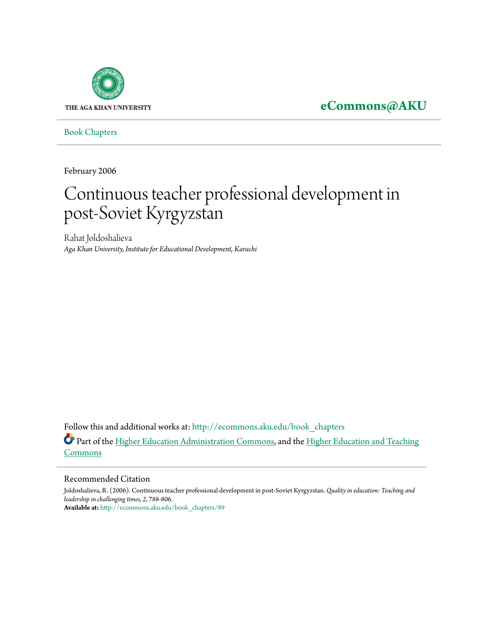

**[eCommons@AKU](http://ecommons.aku.edu?utm_source=ecommons.aku.edu%2Fbook_chapters%2F89&utm_medium=PDF&utm_campaign=PDFCoverPages)**

[Book Chapters](http://ecommons.aku.edu/book_chapters?utm_source=ecommons.aku.edu%2Fbook_chapters%2F89&utm_medium=PDF&utm_campaign=PDFCoverPages)

February 2006

# Continuous teacher professional development in post-Soviet Kyrgyzstan

Rahat Joldoshalieva *Aga Khan University, Institute for Educational Development, Karachi*

Follow this and additional works at: [http://ecommons.aku.edu/book\\_chapters](http://ecommons.aku.edu/book_chapters?utm_source=ecommons.aku.edu%2Fbook_chapters%2F89&utm_medium=PDF&utm_campaign=PDFCoverPages) Part of the [Higher Education Administration Commons](http://network.bepress.com/hgg/discipline/791?utm_source=ecommons.aku.edu%2Fbook_chapters%2F89&utm_medium=PDF&utm_campaign=PDFCoverPages), and the [Higher Education and Teaching](http://network.bepress.com/hgg/discipline/806?utm_source=ecommons.aku.edu%2Fbook_chapters%2F89&utm_medium=PDF&utm_campaign=PDFCoverPages) [Commons](http://network.bepress.com/hgg/discipline/806?utm_source=ecommons.aku.edu%2Fbook_chapters%2F89&utm_medium=PDF&utm_campaign=PDFCoverPages)

#### Recommended Citation

Joldoshalieva, R. (2006). Continuous teacher professional development in post-Soviet Kyrgyzstan. *Quality in education: Teaching and leadership in challenging times, 2*, 788-806. **Available at:** [http://ecommons.aku.edu/book\\_chapters/89](http://ecommons.aku.edu/book_chapters/89)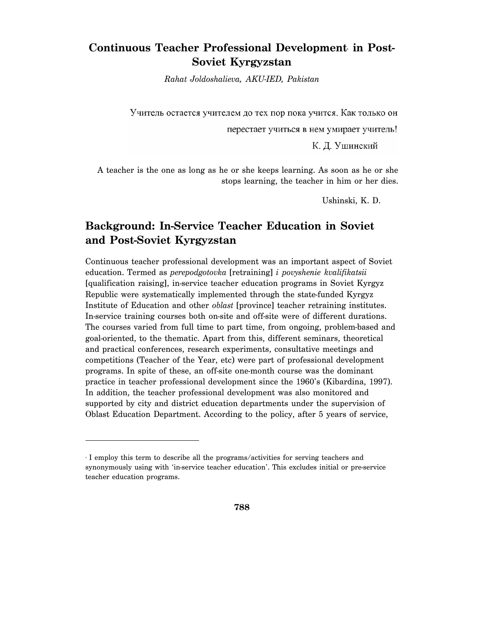# Continuous Teacher Professional Development in Post-**Soviet Kyrgyzstan**

*Rahat Joldoshalieva, AKU-IED, Pakistan* 

Учитель остается учителем до тех пор пока учится. Как только он

перестает учиться в нем умирает учитель!

К. Д. Ушинский

A teacher is the one as long as he or she keeps learning. As soon as he or she stops learning, the teacher in him or her dies.

Ushinski, K. D.

# **Background: In-Service Teacher Education in Soviet and Post-Soviet Kyrgyzstan**

Continuous teacher professional development was an important aspect of Soviet education. Termed as *perepodgotovka* [retraining] *i povyshenie kvalifikatsii* [qualification raising], in-service teacher education programs in Soviet Kyrgyz Republic were systematically implemented through the state-funded Kyrgyz Institute of Education and other *oblast* [province] teacher retraining institutes. In-service training courses both on-site and off-site were of different durations. The courses varied from full time to part time, from ongoing, problem-based and goal-oriented, to the thematic. Apart from this, different seminars, theoretical and practical conferences, research experiments, consultative meetings and competitions (Teacher of the Year, etc) were part of professional development programs. In spite of these, an off-site one-month course was the dominant practice in teacher professional development since the 1960's (Kibardina, 1997). In addition, the teacher professional development was also monitored and supported by city and district education departments under the supervision of Oblast Education Department. According to the policy, after 5 years of service,

<sup>4</sup> I employ this term to describe all the programs/activities for serving teachers and synonymously using with 'in-service teacher education'. This excludes initial or pre-service teacher education programs.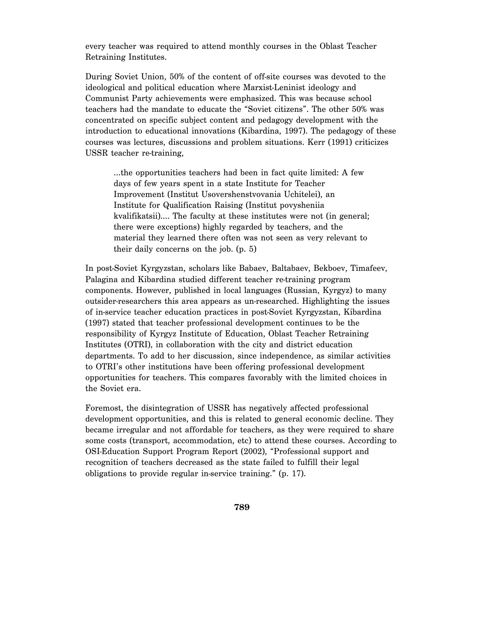every teacher was required to attend monthly courses in the Oblast Teacher Retraining Institutes.

During Soviet Union, 50% of the content of off-site courses was devoted to the ideological and political education where Marxist-Leninist ideology and Communist Party achievements were emphasized. This was because school teachers had the mandate to educate the "Soviet citizens". The other 50% was concentrated on specific subject content and pedagogy development with the introduction to educational innovations (Kibardina, 1997). The pedagogy of these courses was lectures, discussions and problem situations. Kerr (1991) criticizes USSR teacher re-training,

…the opportunities teachers had been in fact quite limited: A few days of few years spent in a state Institute for Teacher Improvement (Institut Usovershenstvovania Uchitelei), an Institute for Qualification Raising (Institut povysheniia kvalifikatsii)…. The faculty at these institutes were not (in general; there were exceptions) highly regarded by teachers, and the material they learned there often was not seen as very relevant to their daily concerns on the job. (p. 5)

In post-Soviet Kyrgyzstan, scholars like Babaev, Baltabaev, Bekboev, Timafeev, Palagina and Kibardina studied different teacher re-training program components. However, published in local languages (Russian, Kyrgyz) to many outsider-researchers this area appears as un-researched. Highlighting the issues of in-service teacher education practices in post-Soviet Kyrgyzstan, Kibardina (1997) stated that teacher professional development continues to be the responsibility of Kyrgyz Institute of Education, Oblast Teacher Retraining Institutes (OTRI), in collaboration with the city and district education departments. To add to her discussion, since independence, as similar activities to OTRI's other institutions have been offering professional development opportunities for teachers. This compares favorably with the limited choices in the Soviet era.

Foremost, the disintegration of USSR has negatively affected professional development opportunities, and this is related to general economic decline. They became irregular and not affordable for teachers, as they were required to share some costs (transport, accommodation, etc) to attend these courses. According to OSI-Education Support Program Report (2002), "Professional support and recognition of teachers decreased as the state failed to fulfill their legal obligations to provide regular in-service training." (p. 17).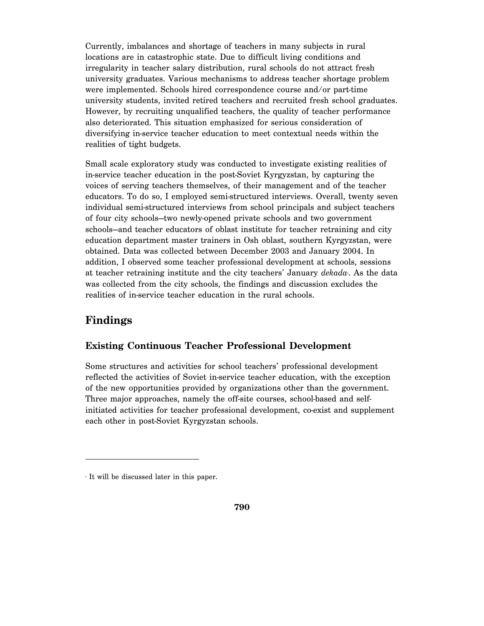Currently, imbalances and shortage of teachers in many subjects in rural locations are in catastrophic state. Due to difficult living conditions and irregularity in teacher salary distribution, rural schools do not attract fresh university graduates. Various mechanisms to address teacher shortage problem were implemented. Schools hired correspondence course and/or part-time university students, invited retired teachers and recruited fresh school graduates. However, by recruiting unqualified teachers, the quality of teacher performance also deteriorated. This situation emphasized for serious consideration of diversifying in-service teacher education to meet contextual needs within the realities of tight budgets.

Small scale exploratory study was conducted to investigate existing realities of in-service teacher education in the post-Soviet Kyrgyzstan, by capturing the voices of serving teachers themselves, of their management and of the teacher educators. To do so, I employed semi-structured interviews. Overall, twenty seven individual semi-structured interviews from school principals and subject teachers of four city schools—two newly-opened private schools and two government schools—and teacher educators of oblast institute for teacher retraining and city education department master trainers in Osh oblast, southern Kyrgyzstan, were obtained. Data was collected between December 2003 and January 2004. In addition, I observed some teacher professional development at schools, sessions at teacher retraining institute and the city teachers' January *dekada*. As the data was collected from the city schools, the findings and discussion excludes the realities of in-service teacher education in the rural schools.

# **Findings**

-

#### **Existing Continuous Teacher Professional Development**

Some structures and activities for school teachers' professional development reflected the activities of Soviet in-service teacher education, with the exception of the new opportunities provided by organizations other than the government. Three major approaches, namely the off-site courses, school-based and selfinitiated activities for teacher professional development, co-exist and supplement each other in post-Soviet Kyrgyzstan schools.

<sup>5</sup> It will be discussed later in this paper.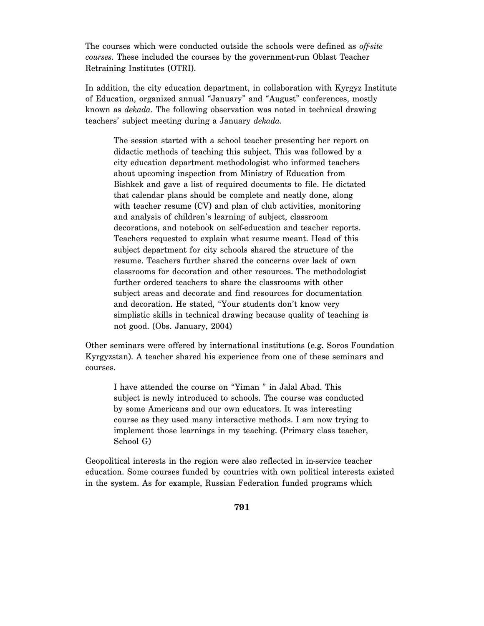The courses which were conducted outside the schools were defined as *off-site courses*. These included the courses by the government-run Oblast Teacher Retraining Institutes (OTRI).

In addition, the city education department, in collaboration with Kyrgyz Institute of Education, organized annual "January" and "August" conferences, mostly known as *dekada*. The following observation was noted in technical drawing teachers' subject meeting during a January *dekada*.

The session started with a school teacher presenting her report on didactic methods of teaching this subject. This was followed by a city education department methodologist who informed teachers about upcoming inspection from Ministry of Education from Bishkek and gave a list of required documents to file. He dictated that calendar plans should be complete and neatly done, along with teacher resume (CV) and plan of club activities, monitoring and analysis of children's learning of subject, classroom decorations, and notebook on self-education and teacher reports. Teachers requested to explain what resume meant. Head of this subject department for city schools shared the structure of the resume. Teachers further shared the concerns over lack of own classrooms for decoration and other resources. The methodologist further ordered teachers to share the classrooms with other subject areas and decorate and find resources for documentation and decoration. He stated, "Your students don't know very simplistic skills in technical drawing because quality of teaching is not good. (Obs. January, 2004)

Other seminars were offered by international institutions (e.g. Soros Foundation Kyrgyzstan). A teacher shared his experience from one of these seminars and courses.

I have attended the course on "Yiman " in Jalal Abad. This subject is newly introduced to schools. The course was conducted by some Americans and our own educators. It was interesting course as they used many interactive methods. I am now trying to implement those learnings in my teaching. (Primary class teacher, School G)

Geopolitical interests in the region were also reflected in in-service teacher education. Some courses funded by countries with own political interests existed in the system. As for example, Russian Federation funded programs which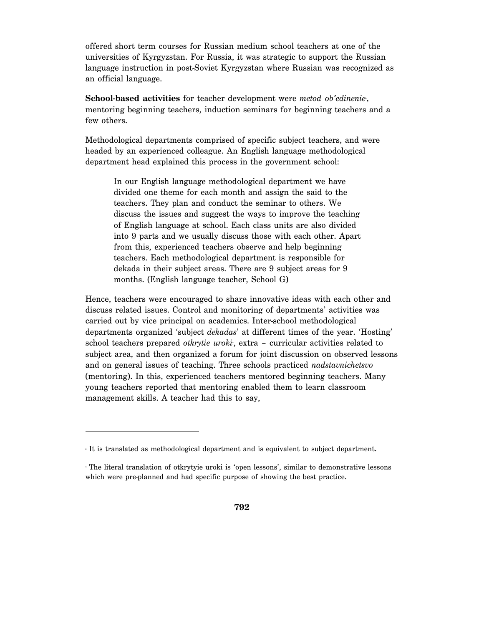offered short term courses for Russian medium school teachers at one of the universities of Kyrgyzstan. For Russia, it was strategic to support the Russian language instruction in post-Soviet Kyrgyzstan where Russian was recognized as an official language.

School-based activities for teacher development were *metod ob'edinenie*, mentoring beginning teachers, induction seminars for beginning teachers and a few others.

Methodological departments comprised of specific subject teachers, and were headed by an experienced colleague. An English language methodological department head explained this process in the government school:

In our English language methodological department we have divided one theme for each month and assign the said to the teachers. They plan and conduct the seminar to others. We discuss the issues and suggest the ways to improve the teaching of English language at school. Each class units are also divided into 9 parts and we usually discuss those with each other. Apart from this, experienced teachers observe and help beginning teachers. Each methodological department is responsible for dekada in their subject areas. There are 9 subject areas for 9 months. (English language teacher, School G)

Hence, teachers were encouraged to share innovative ideas with each other and discuss related issues. Control and monitoring of departments' activities was carried out by vice principal on academics. Inter-school methodological departments organized 'subject *dekadas*' at different times of the year. 'Hosting' school teachers prepared *otkrytie uroki*, extra - curricular activities related to subject area, and then organized a forum for joint discussion on observed lessons and on general issues of teaching. Three schools practiced *nadstavnichetsvo* (mentoring). In this, experienced teachers mentored beginning teachers. Many young teachers reported that mentoring enabled them to learn classroom management skills. A teacher had this to say,

It is translated as methodological department and is equivalent to subject department.

The literal translation of otkrytyie uroki is 'open lessons', similar to demonstrative lessons which were pre-planned and had specific purpose of showing the best practice.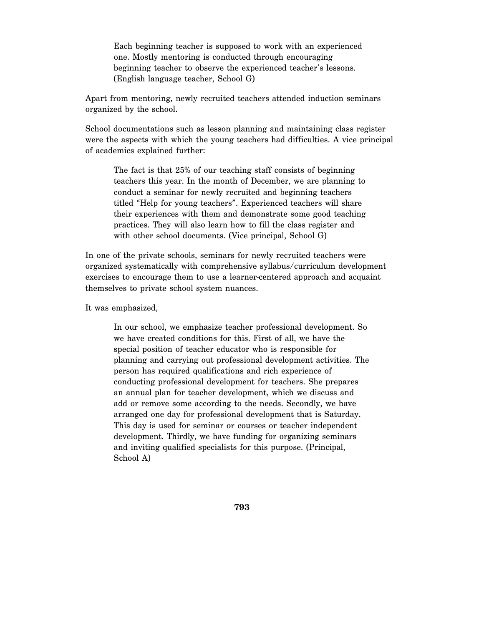Each beginning teacher is supposed to work with an experienced one. Mostly mentoring is conducted through encouraging beginning teacher to observe the experienced teacher's lessons. (English language teacher, School G)

Apart from mentoring, newly recruited teachers attended induction seminars organized by the school.

School documentations such as lesson planning and maintaining class register were the aspects with which the young teachers had difficulties. A vice principal of academics explained further:

The fact is that 25% of our teaching staff consists of beginning teachers this year. In the month of December, we are planning to conduct a seminar for newly recruited and beginning teachers titled "Help for young teachers". Experienced teachers will share their experiences with them and demonstrate some good teaching practices. They will also learn how to fill the class register and with other school documents. (Vice principal, School G)

In one of the private schools, seminars for newly recruited teachers were organized systematically with comprehensive syllabus/curriculum development exercises to encourage them to use a learner-centered approach and acquaint themselves to private school system nuances.

It was emphasized,

In our school, we emphasize teacher professional development. So we have created conditions for this. First of all, we have the special position of teacher educator who is responsible for planning and carrying out professional development activities. The person has required qualifications and rich experience of conducting professional development for teachers. She prepares an annual plan for teacher development, which we discuss and add or remove some according to the needs. Secondly, we have arranged one day for professional development that is Saturday. This day is used for seminar or courses or teacher independent development. Thirdly, we have funding for organizing seminars and inviting qualified specialists for this purpose. (Principal, School A)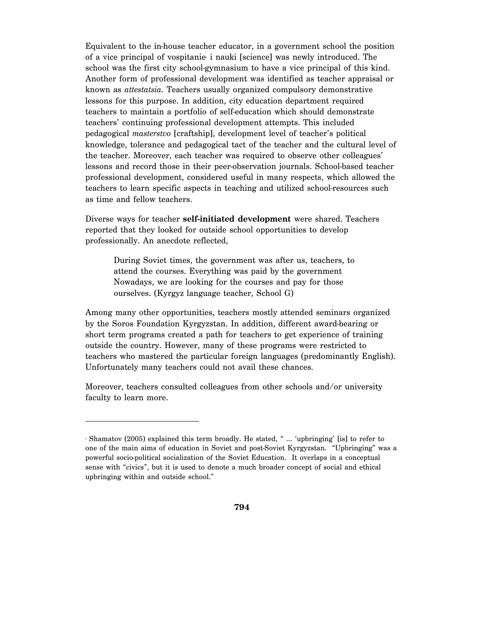Equivalent to the in-house teacher educator, in a government school the position of a vice principal of vospitanie i nauki [science] was newly introduced. The school was the first city school-gymnasium to have a vice principal of this kind. Another form of professional development was identified as teacher appraisal or known as *attestatsia*. Teachers usually organized compulsory demonstrative lessons for this purpose. In addition, city education department required teachers to maintain a portfolio of self-education which should demonstrate teachers' continuing professional development attempts. This included pedagogical *masterstvo* [craftship], development level of teacher's political knowledge, tolerance and pedagogical tact of the teacher and the cultural level of the teacher. Moreover, each teacher was required to observe other colleagues' lessons and record those in their peer-observation journals. School-based teacher professional development, considered useful in many respects, which allowed the teachers to learn specific aspects in teaching and utilized school-resources such as time and fellow teachers.

Diverse ways for teacher **self-initiated development** were shared. Teachers reported that they looked for outside school opportunities to develop professionally. An anecdote reflected,

During Soviet times, the government was after us, teachers, to attend the courses. Everything was paid by the government Nowadays, we are looking for the courses and pay for those ourselves. (Kyrgyz language teacher, School G)

Among many other opportunities, teachers mostly attended seminars organized by the Soros Foundation Kyrgyzstan. In addition, different award-bearing or short term programs created a path for teachers to get experience of training outside the country. However, many of these programs were restricted to teachers who mastered the particular foreign languages (predominantly English). Unfortunately many teachers could not avail these chances.

Moreover, teachers consulted colleagues from other schools and/or university faculty to learn more.

<sup>8</sup> Shamatov (2005) explained this term broadly. He stated, " … 'upbringing' [is] to refer to one of the main aims of education in Soviet and post-Soviet Kyrgyzstan. "Upbringing" was a powerful socio-political socialization of the Soviet Education. It overlaps in a conceptual sense with "civics", but it is used to denote a much broader concept of social and ethical upbringing within and outside school."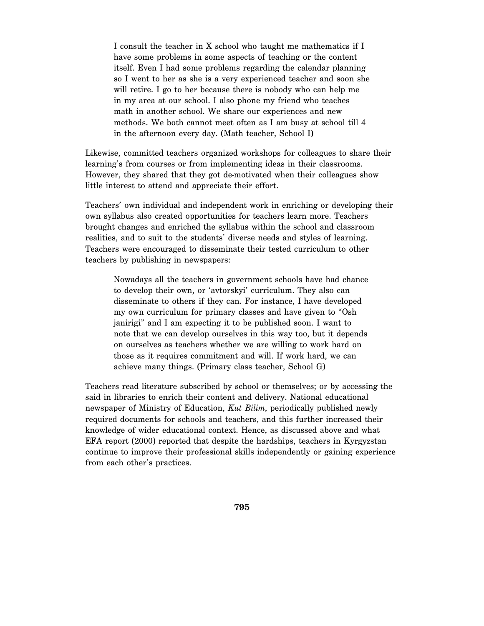I consult the teacher in X school who taught me mathematics if I have some problems in some aspects of teaching or the content itself. Even I had some problems regarding the calendar planning so I went to her as she is a very experienced teacher and soon she will retire. I go to her because there is nobody who can help me in my area at our school. I also phone my friend who teaches math in another school. We share our experiences and new methods. We both cannot meet often as I am busy at school till 4 in the afternoon every day. (Math teacher, School I)

Likewise, committed teachers organized workshops for colleagues to share their learning's from courses or from implementing ideas in their classrooms. However, they shared that they got de-motivated when their colleagues show little interest to attend and appreciate their effort.

Teachers' own individual and independent work in enriching or developing their own syllabus also created opportunities for teachers learn more. Teachers brought changes and enriched the syllabus within the school and classroom realities, and to suit to the students' diverse needs and styles of learning. Teachers were encouraged to disseminate their tested curriculum to other teachers by publishing in newspapers:

Nowadays all the teachers in government schools have had chance to develop their own, or 'avtorskyi' curriculum. They also can disseminate to others if they can. For instance, I have developed my own curriculum for primary classes and have given to "Osh janirigi" and I am expecting it to be published soon. I want to note that we can develop ourselves in this way too, but it depends on ourselves as teachers whether we are willing to work hard on those as it requires commitment and will. If work hard, we can achieve many things. (Primary class teacher, School G)

Teachers read literature subscribed by school or themselves; or by accessing the said in libraries to enrich their content and delivery. National educational newspaper of Ministry of Education, *Kut Bilim*, periodically published newly required documents for schools and teachers, and this further increased their knowledge of wider educational context. Hence, as discussed above and what EFA report (2000) reported that despite the hardships, teachers in Kyrgyzstan continue to improve their professional skills independently or gaining experience from each other's practices.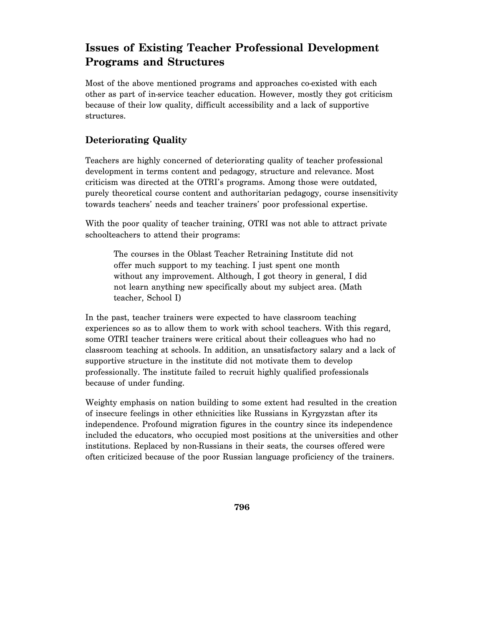# **Issues of Existing Teacher Professional Development Programs and Structures**

Most of the above mentioned programs and approaches co-existed with each other as part of in-service teacher education. However, mostly they got criticism because of their low quality, difficult accessibility and a lack of supportive structures.

#### **Deteriorating Quality**

Teachers are highly concerned of deteriorating quality of teacher professional development in terms content and pedagogy, structure and relevance. Most criticism was directed at the OTRI's programs. Among those were outdated, purely theoretical course content and authoritarian pedagogy, course insensitivity towards teachers' needs and teacher trainers' poor professional expertise.

With the poor quality of teacher training, OTRI was not able to attract private schoolteachers to attend their programs:

The courses in the Oblast Teacher Retraining Institute did not offer much support to my teaching. I just spent one month without any improvement. Although, I got theory in general, I did not learn anything new specifically about my subject area. (Math teacher, School I)

In the past, teacher trainers were expected to have classroom teaching experiences so as to allow them to work with school teachers. With this regard, some OTRI teacher trainers were critical about their colleagues who had no classroom teaching at schools. In addition, an unsatisfactory salary and a lack of supportive structure in the institute did not motivate them to develop professionally. The institute failed to recruit highly qualified professionals because of under funding.

Weighty emphasis on nation building to some extent had resulted in the creation of insecure feelings in other ethnicities like Russians in Kyrgyzstan after its independence. Profound migration figures in the country since its independence included the educators, who occupied most positions at the universities and other institutions. Replaced by non-Russians in their seats, the courses offered were often criticized because of the poor Russian language proficiency of the trainers.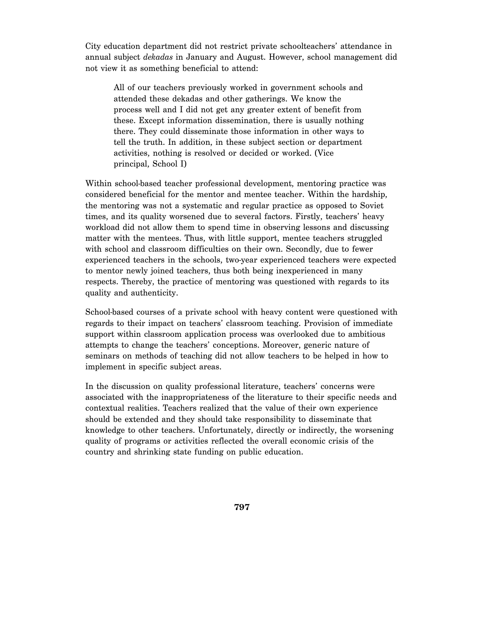City education department did not restrict private schoolteachers' attendance in annual subject *dekadas* in January and August. However, school management did not view it as something beneficial to attend:

All of our teachers previously worked in government schools and attended these dekadas and other gatherings. We know the process well and I did not get any greater extent of benefit from these. Except information dissemination, there is usually nothing there. They could disseminate those information in other ways to tell the truth. In addition, in these subject section or department activities, nothing is resolved or decided or worked. (Vice principal, School I)

Within school-based teacher professional development, mentoring practice was considered beneficial for the mentor and mentee teacher. Within the hardship, the mentoring was not a systematic and regular practice as opposed to Soviet times, and its quality worsened due to several factors. Firstly, teachers' heavy workload did not allow them to spend time in observing lessons and discussing matter with the mentees. Thus, with little support, mentee teachers struggled with school and classroom difficulties on their own. Secondly, due to fewer experienced teachers in the schools, two-year experienced teachers were expected to mentor newly joined teachers, thus both being inexperienced in many respects. Thereby, the practice of mentoring was questioned with regards to its quality and authenticity.

School-based courses of a private school with heavy content were questioned with regards to their impact on teachers' classroom teaching. Provision of immediate support within classroom application process was overlooked due to ambitious attempts to change the teachers' conceptions. Moreover, generic nature of seminars on methods of teaching did not allow teachers to be helped in how to implement in specific subject areas.

In the discussion on quality professional literature, teachers' concerns were associated with the inappropriateness of the literature to their specific needs and contextual realities. Teachers realized that the value of their own experience should be extended and they should take responsibility to disseminate that knowledge to other teachers. Unfortunately, directly or indirectly, the worsening quality of programs or activities reflected the overall economic crisis of the country and shrinking state funding on public education.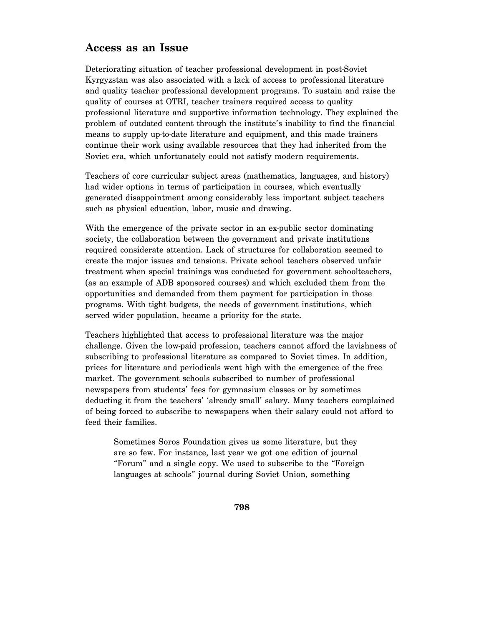# **Access as an Issue**

Deteriorating situation of teacher professional development in post-Soviet Kyrgyzstan was also associated with a lack of access to professional literature and quality teacher professional development programs. To sustain and raise the quality of courses at OTRI, teacher trainers required access to quality professional literature and supportive information technology. They explained the problem of outdated content through the institute's inability to find the financial means to supply up-to-date literature and equipment, and this made trainers continue their work using available resources that they had inherited from the Soviet era, which unfortunately could not satisfy modern requirements.

Teachers of core curricular subject areas (mathematics, languages, and history) had wider options in terms of participation in courses, which eventually generated disappointment among considerably less important subject teachers such as physical education, labor, music and drawing.

With the emergence of the private sector in an ex-public sector dominating society, the collaboration between the government and private institutions required considerate attention. Lack of structures for collaboration seemed to create the major issues and tensions. Private school teachers observed unfair treatment when special trainings was conducted for government schoolteachers, (as an example of ADB sponsored courses) and which excluded them from the opportunities and demanded from them payment for participation in those programs. With tight budgets, the needs of government institutions, which served wider population, became a priority for the state.

Teachers highlighted that access to professional literature was the major challenge. Given the low-paid profession, teachers cannot afford the lavishness of subscribing to professional literature as compared to Soviet times. In addition, prices for literature and periodicals went high with the emergence of the free market. The government schools subscribed to number of professional newspapers from students' fees for gymnasium classes or by sometimes deducting it from the teachers' 'already small' salary. Many teachers complained of being forced to subscribe to newspapers when their salary could not afford to feed their families.

Sometimes Soros Foundation gives us some literature, but they are so few. For instance, last year we got one edition of journal "Forum" and a single copy. We used to subscribe to the "Foreign languages at schools" journal during Soviet Union, something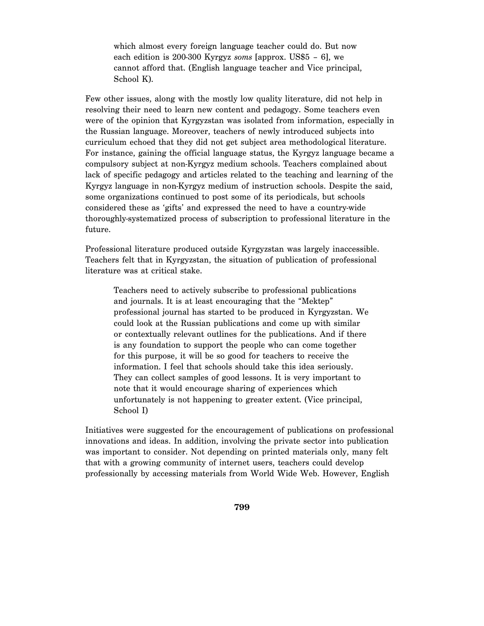which almost every foreign language teacher could do. But now each edition is 200-300 Kyrgyz *soms* [approx. US\$5 – 6], we cannot afford that. (English language teacher and Vice principal, School K).

Few other issues, along with the mostly low quality literature, did not help in resolving their need to learn new content and pedagogy. Some teachers even were of the opinion that Kyrgyzstan was isolated from information, especially in the Russian language. Moreover, teachers of newly introduced subjects into curriculum echoed that they did not get subject area methodological literature. For instance, gaining the official language status, the Kyrgyz language became a compulsory subject at non-Kyrgyz medium schools. Teachers complained about lack of specific pedagogy and articles related to the teaching and learning of the Kyrgyz language in non-Kyrgyz medium of instruction schools. Despite the said, some organizations continued to post some of its periodicals, but schools considered these as 'gifts' and expressed the need to have a country-wide thoroughly-systematized process of subscription to professional literature in the future.

Professional literature produced outside Kyrgyzstan was largely inaccessible. Teachers felt that in Kyrgyzstan, the situation of publication of professional literature was at critical stake.

Teachers need to actively subscribe to professional publications and journals. It is at least encouraging that the "Mektep" professional journal has started to be produced in Kyrgyzstan. We could look at the Russian publications and come up with similar or contextually relevant outlines for the publications. And if there is any foundation to support the people who can come together for this purpose, it will be so good for teachers to receive the information. I feel that schools should take this idea seriously. They can collect samples of good lessons. It is very important to note that it would encourage sharing of experiences which unfortunately is not happening to greater extent. (Vice principal, School I)

Initiatives were suggested for the encouragement of publications on professional innovations and ideas. In addition, involving the private sector into publication was important to consider. Not depending on printed materials only, many felt that with a growing community of internet users, teachers could develop professionally by accessing materials from World Wide Web. However, English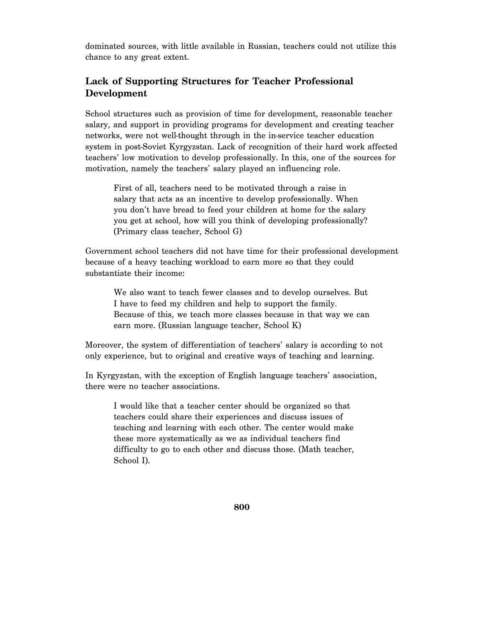dominated sources, with little available in Russian, teachers could not utilize this chance to any great extent.

### **Lack of Supporting Structures for Teacher Professional Development**

School structures such as provision of time for development, reasonable teacher salary, and support in providing programs for development and creating teacher networks, were not well-thought through in the in-service teacher education system in post-Soviet Kyrgyzstan. Lack of recognition of their hard work affected teachers' low motivation to develop professionally. In this, one of the sources for motivation, namely the teachers' salary played an influencing role.

First of all, teachers need to be motivated through a raise in salary that acts as an incentive to develop professionally. When you don't have bread to feed your children at home for the salary you get at school, how will you think of developing professionally? (Primary class teacher, School G)

Government school teachers did not have time for their professional development because of a heavy teaching workload to earn more so that they could substantiate their income:

We also want to teach fewer classes and to develop ourselves. But I have to feed my children and help to support the family. Because of this, we teach more classes because in that way we can earn more. (Russian language teacher, School K)

Moreover, the system of differentiation of teachers' salary is according to not only experience, but to original and creative ways of teaching and learning.

In Kyrgyzstan, with the exception of English language teachers' association, there were no teacher associations.

I would like that a teacher center should be organized so that teachers could share their experiences and discuss issues of teaching and learning with each other. The center would make these more systematically as we as individual teachers find difficulty to go to each other and discuss those. (Math teacher, School I).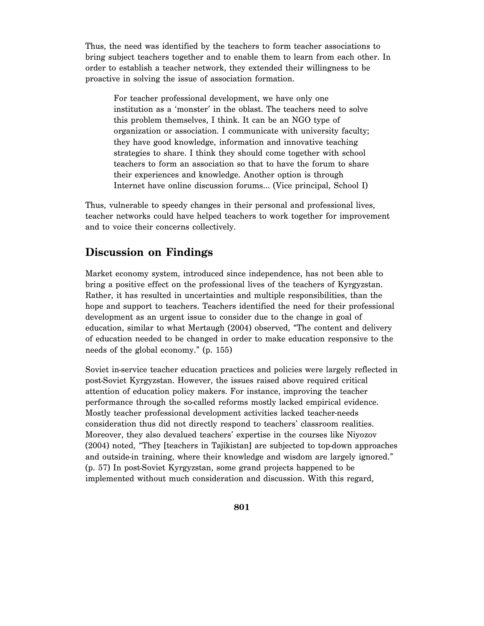Thus, the need was identified by the teachers to form teacher associations to bring subject teachers together and to enable them to learn from each other. In order to establish a teacher network, they extended their willingness to be proactive in solving the issue of association formation.

For teacher professional development, we have only one institution as a 'monster' in the oblast. The teachers need to solve this problem themselves, I think. It can be an NGO type of organization or association. I communicate with university faculty; they have good knowledge, information and innovative teaching strategies to share. I think they should come together with school teachers to form an association so that to have the forum to share their experiences and knowledge. Another option is through Internet have online discussion forums… (Vice principal, School I)

Thus, vulnerable to speedy changes in their personal and professional lives, teacher networks could have helped teachers to work together for improvement and to voice their concerns collectively.

# **Discussion on Findings**

Market economy system, introduced since independence, has not been able to bring a positive effect on the professional lives of the teachers of Kyrgyzstan. Rather, it has resulted in uncertainties and multiple responsibilities, than the hope and support to teachers. Teachers identified the need for their professional development as an urgent issue to consider due to the change in goal of education, similar to what Mertaugh (2004) observed, "The content and delivery of education needed to be changed in order to make education responsive to the needs of the global economy." (p. 155)

Soviet in-service teacher education practices and policies were largely reflected in post-Soviet Kyrgyzstan. However, the issues raised above required critical attention of education policy makers. For instance, improving the teacher performance through the so-called reforms mostly lacked empirical evidence. Mostly teacher professional development activities lacked teacher-needs consideration thus did not directly respond to teachers' classroom realities. Moreover, they also devalued teachers' expertise in the courses like Niyozov (2004) noted, "They [teachers in Tajikistan] are subjected to top-down approaches and outside-in training, where their knowledge and wisdom are largely ignored." (p. 57) In post-Soviet Kyrgyzstan, some grand projects happened to be implemented without much consideration and discussion. With this regard,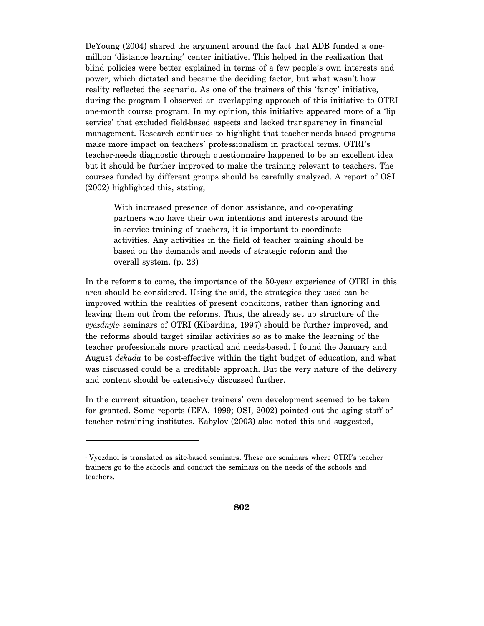DeYoung (2004) shared the argument around the fact that ADB funded a onemillion 'distance learning' center initiative. This helped in the realization that blind policies were better explained in terms of a few people's own interests and power, which dictated and became the deciding factor, but what wasn't how reality reflected the scenario. As one of the trainers of this 'fancy' initiative, during the program I observed an overlapping approach of this initiative to OTRI one-month course program. In my opinion, this initiative appeared more of a 'lip service' that excluded field-based aspects and lacked transparency in financial management. Research continues to highlight that teacher-needs based programs make more impact on teachers' professionalism in practical terms. OTRI's teacher-needs diagnostic through questionnaire happened to be an excellent idea but it should be further improved to make the training relevant to teachers. The courses funded by different groups should be carefully analyzed. A report of OSI (2002) highlighted this, stating,

With increased presence of donor assistance, and co-operating partners who have their own intentions and interests around the in-service training of teachers, it is important to coordinate activities. Any activities in the field of teacher training should be based on the demands and needs of strategic reform and the overall system. (p. 23)

In the reforms to come, the importance of the 50-year experience of OTRI in this area should be considered. Using the said, the strategies they used can be improved within the realities of present conditions, rather than ignoring and leaving them out from the reforms. Thus, the already set up structure of the *vyezdnyie* seminars of OTRI (Kibardina, 1997) should be further improved, and the reforms should target similar activities so as to make the learning of the teacher professionals more practical and needs-based. I found the January and August *dekada* to be cost-effective within the tight budget of education, and what was discussed could be a creditable approach. But the very nature of the delivery and content should be extensively discussed further.

In the current situation, teacher trainers' own development seemed to be taken for granted. Some reports (EFA, 1999; OSI, 2002) pointed out the aging staff of teacher retraining institutes. Kabylov (2003) also noted this and suggested,

<sup>9</sup> Vyezdnoi is translated as site-based seminars. These are seminars where OTRI's teacher trainers go to the schools and conduct the seminars on the needs of the schools and teachers.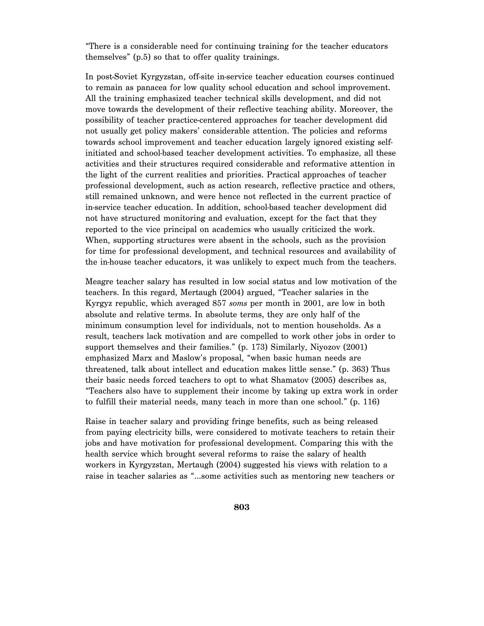"There is a considerable need for continuing training for the teacher educators themselves" (p.5) so that to offer quality trainings.

In post-Soviet Kyrgyzstan, off-site in-service teacher education courses continued to remain as panacea for low quality school education and school improvement. All the training emphasized teacher technical skills development, and did not move towards the development of their reflective teaching ability. Moreover, the possibility of teacher practice-centered approaches for teacher development did not usually get policy makers' considerable attention. The policies and reforms towards school improvement and teacher education largely ignored existing selfinitiated and school-based teacher development activities. To emphasize, all these activities and their structures required considerable and reformative attention in the light of the current realities and priorities. Practical approaches of teacher professional development, such as action research, reflective practice and others, still remained unknown, and were hence not reflected in the current practice of in-service teacher education. In addition, school-based teacher development did not have structured monitoring and evaluation, except for the fact that they reported to the vice principal on academics who usually criticized the work. When, supporting structures were absent in the schools, such as the provision for time for professional development, and technical resources and availability of the in-house teacher educators, it was unlikely to expect much from the teachers.

Meagre teacher salary has resulted in low social status and low motivation of the teachers. In this regard, Mertaugh (2004) argued, "Teacher salaries in the Kyrgyz republic, which averaged 857 *soms* per month in 2001, are low in both absolute and relative terms. In absolute terms, they are only half of the minimum consumption level for individuals, not to mention households. As a result, teachers lack motivation and are compelled to work other jobs in order to support themselves and their families." (p. 173) Similarly, Niyozov (2001) emphasized Marx and Maslow's proposal, "when basic human needs are threatened, talk about intellect and education makes little sense." (p. 363) Thus their basic needs forced teachers to opt to what Shamatov (2005) describes as, "Teachers also have to supplement their income by taking up extra work in order to fulfill their material needs, many teach in more than one school." (p. 116)

Raise in teacher salary and providing fringe benefits, such as being released from paying electricity bills, were considered to motivate teachers to retain their jobs and have motivation for professional development. Comparing this with the health service which brought several reforms to raise the salary of health workers in Kyrgyzstan, Mertaugh (2004) suggested his views with relation to a raise in teacher salaries as "…some activities such as mentoring new teachers or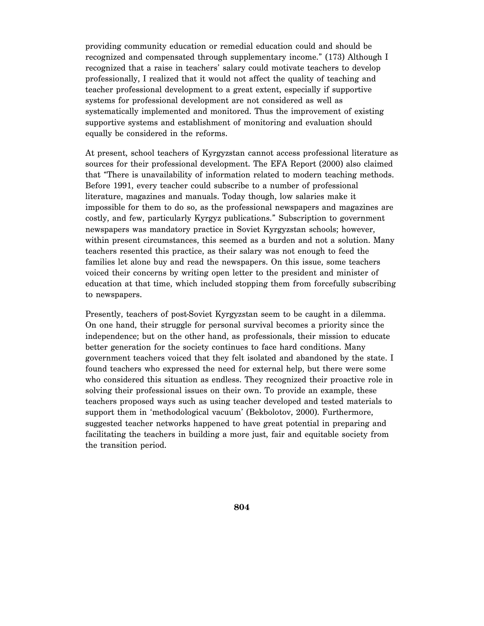providing community education or remedial education could and should be recognized and compensated through supplementary income." (173) Although I recognized that a raise in teachers' salary could motivate teachers to develop professionally, I realized that it would not affect the quality of teaching and teacher professional development to a great extent, especially if supportive systems for professional development are not considered as well as systematically implemented and monitored. Thus the improvement of existing supportive systems and establishment of monitoring and evaluation should equally be considered in the reforms.

At present, school teachers of Kyrgyzstan cannot access professional literature as sources for their professional development. The EFA Report (2000) also claimed that "There is unavailability of information related to modern teaching methods. Before 1991, every teacher could subscribe to a number of professional literature, magazines and manuals. Today though, low salaries make it impossible for them to do so, as the professional newspapers and magazines are costly, and few, particularly Kyrgyz publications." Subscription to government newspapers was mandatory practice in Soviet Kyrgyzstan schools; however, within present circumstances, this seemed as a burden and not a solution. Many teachers resented this practice, as their salary was not enough to feed the families let alone buy and read the newspapers. On this issue, some teachers voiced their concerns by writing open letter to the president and minister of education at that time, which included stopping them from forcefully subscribing to newspapers.

Presently, teachers of post-Soviet Kyrgyzstan seem to be caught in a dilemma. On one hand, their struggle for personal survival becomes a priority since the independence; but on the other hand, as professionals, their mission to educate better generation for the society continues to face hard conditions. Many government teachers voiced that they felt isolated and abandoned by the state. I found teachers who expressed the need for external help, but there were some who considered this situation as endless. They recognized their proactive role in solving their professional issues on their own. To provide an example, these teachers proposed ways such as using teacher developed and tested materials to support them in 'methodological vacuum' (Bekbolotov, 2000). Furthermore, suggested teacher networks happened to have great potential in preparing and facilitating the teachers in building a more just, fair and equitable society from the transition period.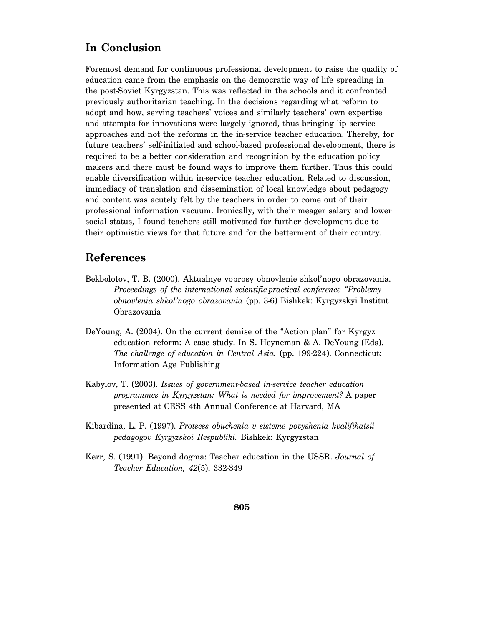## **In Conclusion**

Foremost demand for continuous professional development to raise the quality of education came from the emphasis on the democratic way of life spreading in the post-Soviet Kyrgyzstan. This was reflected in the schools and it confronted previously authoritarian teaching. In the decisions regarding what reform to adopt and how, serving teachers' voices and similarly teachers' own expertise and attempts for innovations were largely ignored, thus bringing lip service approaches and not the reforms in the in-service teacher education. Thereby, for future teachers' self-initiated and school-based professional development, there is required to be a better consideration and recognition by the education policy makers and there must be found ways to improve them further. Thus this could enable diversification within in-service teacher education. Related to discussion, immediacy of translation and dissemination of local knowledge about pedagogy and content was acutely felt by the teachers in order to come out of their professional information vacuum. Ironically, with their meager salary and lower social status, I found teachers still motivated for further development due to their optimistic views for that future and for the betterment of their country.

#### **References**

- Bekbolotov, T. B. (2000). Aktualnye voprosy obnovlenie shkol'nogo obrazovania. *Proceedings of the international scientific-practical conference "Problemy obnovlenia shkol'nogo obrazovania* (pp. 3-6) Bishkek: Kyrgyzskyi Institut Obrazovania
- DeYoung, A. (2004). On the current demise of the "Action plan" for Kyrgyz education reform: A case study. In S. Heyneman & A. DeYoung (Eds). *The challenge of education in Central Asia.* (pp. 199-224). Connecticut: Information Age Publishing
- Kabylov, T. (2003). *Issues of government-based in-service teacher education programmes in Kyrgyzstan: What is needed for improvement?* A paper presented at CESS 4th Annual Conference at Harvard, MA
- Kibardina, L. P. (1997). *Protsess obuchenia v sisteme povyshenia kvalifikatsii pedagogov Kyrgyzskoi Respubliki.* Bishkek: Kyrgyzstan
- Kerr, S. (1991). Beyond dogma: Teacher education in the USSR. *Journal of Teacher Education, 42*(5), 332-349